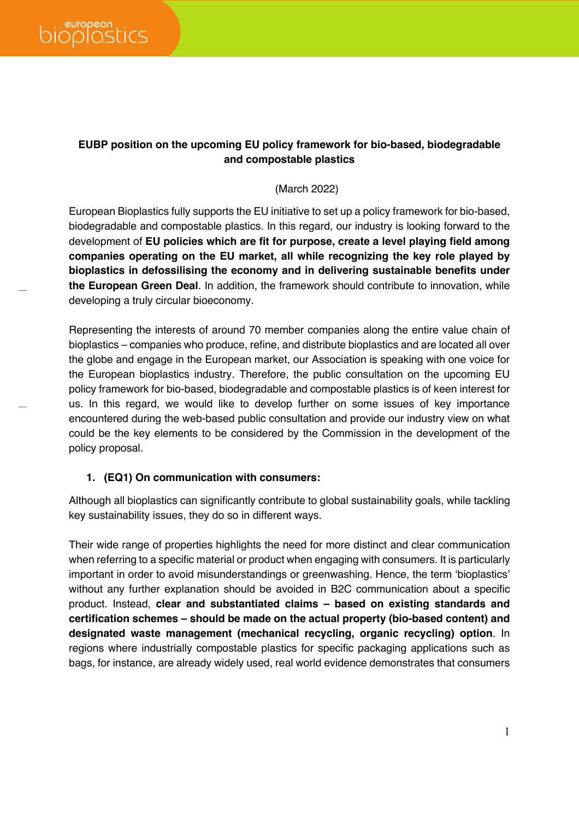## **EUBP position on the upcoming EU policy framework for bio-based, biodegradable and compostable plastics**

#### (March 2022)

European Bioplastics fully supports the EU initiative to set up a policy framework for bio-based, biodegradable and compostable plastics. In this regard, our industry is looking forward to the development of **EU policies which are fit for purpose, create a level playing field among companies operating on the EU market, all while recognizing the key role played by bioplastics in defossilising the economy and in delivering sustainable benefits under the European Green Deal**. In addition, the framework should contribute to innovation, while developing a truly circular bioeconomy.

Representing the interests of around 70 member companies along the entire value chain of bioplastics – companies who produce, refine, and distribute bioplastics and are located all over the globe and engage in the European market, our Association is speaking with one voice for the European bioplastics industry. Therefore, the public consultation on the upcoming EU policy framework for bio-based, biodegradable and compostable plastics is of keen interest for us. In this regard, we would like to develop further on some issues of key importance encountered during the web-based public consultation and provide our industry view on what could be the key elements to be considered by the Commission in the development of the policy proposal.

### **1. (EQ1) On communication with consumers:**

Although all bioplastics can significantly contribute to global sustainability goals, while tackling key sustainability issues, they do so in different ways.

Their wide range of properties highlights the need for more distinct and clear communication when referring to a specific material or product when engaging with consumers. It is particularly important in order to avoid misunderstandings or greenwashing. Hence, the term 'bioplastics' without any further explanation should be avoided in B2C communication about a specific product. Instead, **clear and substantiated claims – based on existing standards and certification schemes – should be made on the actual property (bio-based content) and designated waste management (mechanical recycling, organic recycling) option**. In regions where industrially compostable plastics for specific packaging applications such as bags, for instance, are already widely used, real world evidence demonstrates that consumers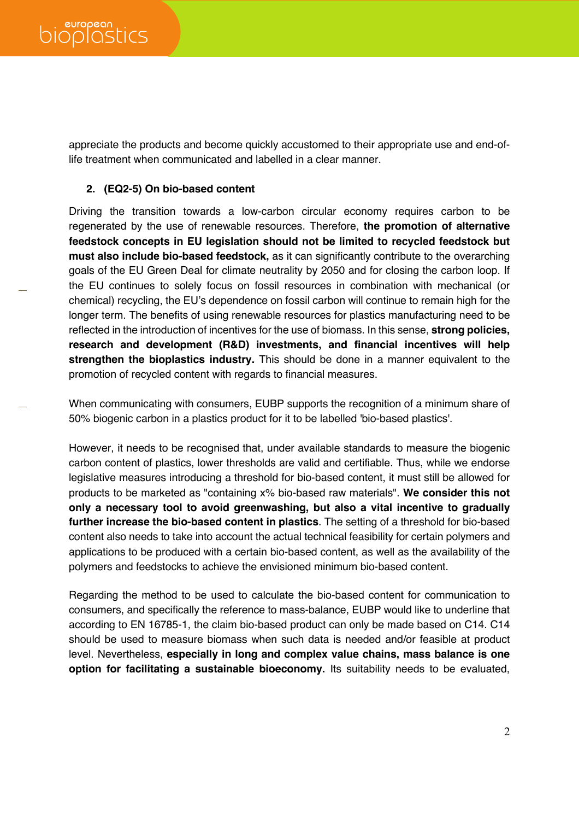appreciate the products and become quickly accustomed to their appropriate use and end-oflife treatment when communicated and labelled in a clear manner.

#### **2. (EQ2-5) On bio-based content**

Driving the transition towards a low-carbon circular economy requires carbon to be regenerated by the use of renewable resources. Therefore, **the promotion of alternative feedstock concepts in EU legislation should not be limited to recycled feedstock but must also include bio-based feedstock,** as it can significantly contribute to the overarching goals of the EU Green Deal for climate neutrality by 2050 and for closing the carbon loop. If the EU continues to solely focus on fossil resources in combination with mechanical (or chemical) recycling, the EU's dependence on fossil carbon will continue to remain high for the longer term. The benefits of using renewable resources for plastics manufacturing need to be reflected in the introduction of incentives for the use of biomass. In this sense, **strong policies, research and development (R&D) investments, and financial incentives will help strengthen the bioplastics industry.** This should be done in a manner equivalent to the promotion of recycled content with regards to financial measures.

When communicating with consumers, EUBP supports the recognition of a minimum share of 50% biogenic carbon in a plastics product for it to be labelled 'bio-based plastics'.

However, it needs to be recognised that, under available standards to measure the biogenic carbon content of plastics, lower thresholds are valid and certifiable. Thus, while we endorse legislative measures introducing a threshold for bio-based content, it must still be allowed for products to be marketed as "containing x% bio-based raw materials". **We consider this not only a necessary tool to avoid greenwashing, but also a vital incentive to gradually further increase the bio-based content in plastics**. The setting of a threshold for bio-based content also needs to take into account the actual technical feasibility for certain polymers and applications to be produced with a certain bio-based content, as well as the availability of the polymers and feedstocks to achieve the envisioned minimum bio-based content.

Regarding the method to be used to calculate the bio-based content for communication to consumers, and specifically the reference to mass-balance, EUBP would like to underline that according to EN 16785-1, the claim bio-based product can only be made based on C14. C14 should be used to measure biomass when such data is needed and/or feasible at product level. Nevertheless, **especially in long and complex value chains, mass balance is one option for facilitating a sustainable bioeconomy.** Its suitability needs to be evaluated,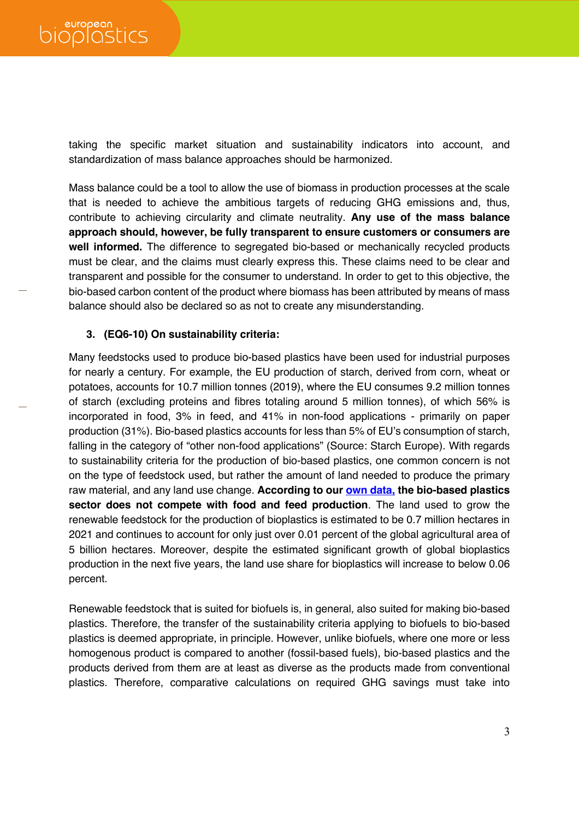taking the specific market situation and sustainability indicators into account, and standardization of mass balance approaches should be harmonized.

Mass balance could be a tool to allow the use of biomass in production processes at the scale that is needed to achieve the ambitious targets of reducing GHG emissions and, thus, contribute to achieving circularity and climate neutrality. **Any use of the mass balance approach should, however, be fully transparent to ensure customers or consumers are well informed.** The difference to segregated bio-based or mechanically recycled products must be clear, and the claims must clearly express this. These claims need to be clear and transparent and possible for the consumer to understand. In order to get to this objective, the bio-based carbon content of the product where biomass has been attributed by means of mass balance should also be declared so as not to create any misunderstanding.

#### **3. (EQ6-10) On sustainability criteria:**

Many feedstocks used to produce bio-based plastics have been used for industrial purposes for nearly a century. For example, the EU production of starch, derived from corn, wheat or potatoes, accounts for 10.7 million tonnes (2019), where the EU consumes 9.2 million tonnes of starch (excluding proteins and fibres totaling around 5 million tonnes), of which 56% is incorporated in food, 3% in feed, and 41% in non-food applications - primarily on paper production (31%). Bio-based plastics accounts for less than 5% of EU's consumption of starch, falling in the category of "other non-food applications" (Source: Starch Europe). With regards to sustainability criteria for the production of bio-based plastics, one common concern is not on the type of feedstock used, but rather the amount of land needed to produce the primary raw material, and any land use change. **According to our own data, the bio-based plastics sector does not compete with food and feed production**. The land used to grow the renewable feedstock for the production of bioplastics is estimated to be 0.7 million hectares in 2021 and continues to account for only just over 0.01 percent of the global agricultural area of 5 billion hectares. Moreover, despite the estimated significant growth of global bioplastics production in the next five years, the land use share for bioplastics will increase to below 0.06 percent.

Renewable feedstock that is suited for biofuels is, in general, also suited for making bio-based plastics. Therefore, the transfer of the sustainability criteria applying to biofuels to bio-based plastics is deemed appropriate, in principle. However, unlike biofuels, where one more or less homogenous product is compared to another (fossil-based fuels), bio-based plastics and the products derived from them are at least as diverse as the products made from conventional plastics. Therefore, comparative calculations on required GHG savings must take into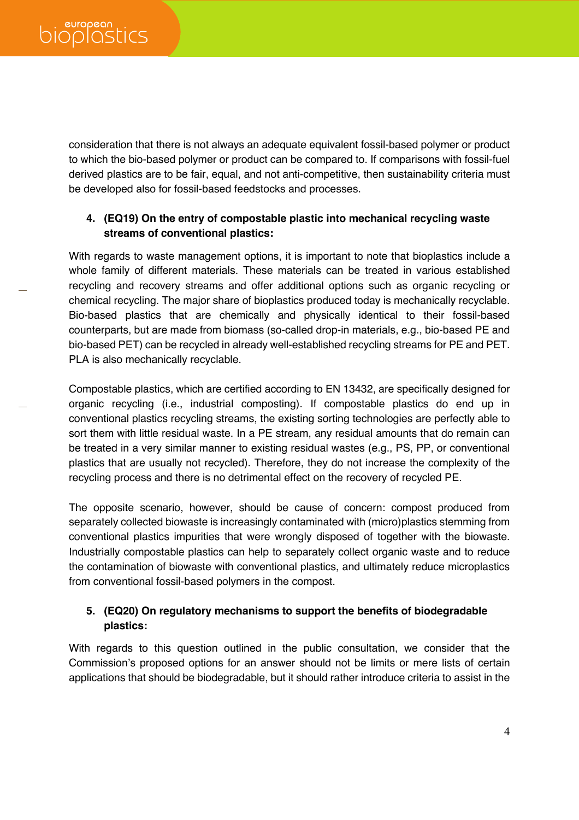consideration that there is not always an adequate equivalent fossil-based polymer or product to which the bio-based polymer or product can be compared to. If comparisons with fossil-fuel derived plastics are to be fair, equal, and not anti-competitive, then sustainability criteria must be developed also for fossil-based feedstocks and processes.

# **4. (EQ19) On the entry of compostable plastic into mechanical recycling waste streams of conventional plastics:**

With regards to waste management options, it is important to note that bioplastics include a whole family of different materials. These materials can be treated in various established recycling and recovery streams and offer additional options such as organic recycling or chemical recycling. The major share of bioplastics produced today is mechanically recyclable. Bio-based plastics that are chemically and physically identical to their fossil-based counterparts, but are made from biomass (so-called drop-in materials, e.g., bio-based PE and bio-based PET) can be recycled in already well-established recycling streams for PE and PET. PLA is also mechanically recyclable.

Compostable plastics, which are certified according to EN 13432, are specifically designed for organic recycling (i.e., industrial composting). If compostable plastics do end up in conventional plastics recycling streams, the existing sorting technologies are perfectly able to sort them with little residual waste. In a PE stream, any residual amounts that do remain can be treated in a very similar manner to existing residual wastes (e.g., PS, PP, or conventional plastics that are usually not recycled). Therefore, they do not increase the complexity of the recycling process and there is no detrimental effect on the recovery of recycled PE.

The opposite scenario, however, should be cause of concern: compost produced from separately collected biowaste is increasingly contaminated with (micro)plastics stemming from conventional plastics impurities that were wrongly disposed of together with the biowaste. Industrially compostable plastics can help to separately collect organic waste and to reduce the contamination of biowaste with conventional plastics, and ultimately reduce microplastics from conventional fossil-based polymers in the compost.

## **5. (EQ20) On regulatory mechanisms to support the benefits of biodegradable plastics:**

With regards to this question outlined in the public consultation, we consider that the Commission's proposed options for an answer should not be limits or mere lists of certain applications that should be biodegradable, but it should rather introduce criteria to assist in the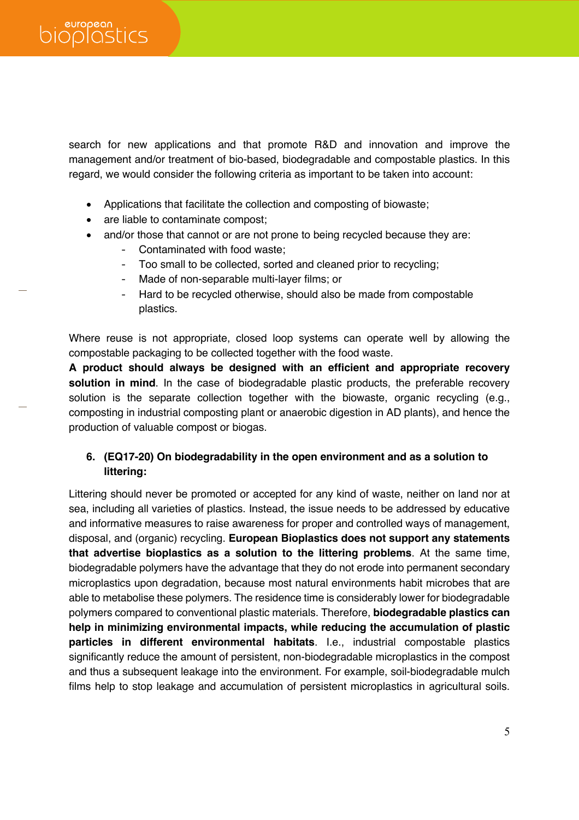search for new applications and that promote R&D and innovation and improve the management and/or treatment of bio-based, biodegradable and compostable plastics. In this regard, we would consider the following criteria as important to be taken into account:

- Applications that facilitate the collection and composting of biowaste;
- are liable to contaminate compost;
- and/or those that cannot or are not prone to being recycled because they are:
	- Contaminated with food waste;
	- Too small to be collected, sorted and cleaned prior to recycling;
	- Made of non-separable multi-layer films; or
	- Hard to be recycled otherwise, should also be made from compostable plastics.

Where reuse is not appropriate, closed loop systems can operate well by allowing the compostable packaging to be collected together with the food waste.

**A product should always be designed with an efficient and appropriate recovery solution in mind**. In the case of biodegradable plastic products, the preferable recovery solution is the separate collection together with the biowaste, organic recycling (e.g., composting in industrial composting plant or anaerobic digestion in AD plants), and hence the production of valuable compost or biogas.

## **6. (EQ17-20) On biodegradability in the open environment and as a solution to littering:**

Littering should never be promoted or accepted for any kind of waste, neither on land nor at sea, including all varieties of plastics. Instead, the issue needs to be addressed by educative and informative measures to raise awareness for proper and controlled ways of management, disposal, and (organic) recycling. **European Bioplastics does not support any statements that advertise bioplastics as a solution to the littering problems**. At the same time, biodegradable polymers have the advantage that they do not erode into permanent secondary microplastics upon degradation, because most natural environments habit microbes that are able to metabolise these polymers. The residence time is considerably lower for biodegradable polymers compared to conventional plastic materials. Therefore, **biodegradable plastics can help in minimizing environmental impacts, while reducing the accumulation of plastic particles in different environmental habitats**. I.e., industrial compostable plastics significantly reduce the amount of persistent, non-biodegradable microplastics in the compost and thus a subsequent leakage into the environment. For example, soil-biodegradable mulch films help to stop leakage and accumulation of persistent microplastics in agricultural soils.